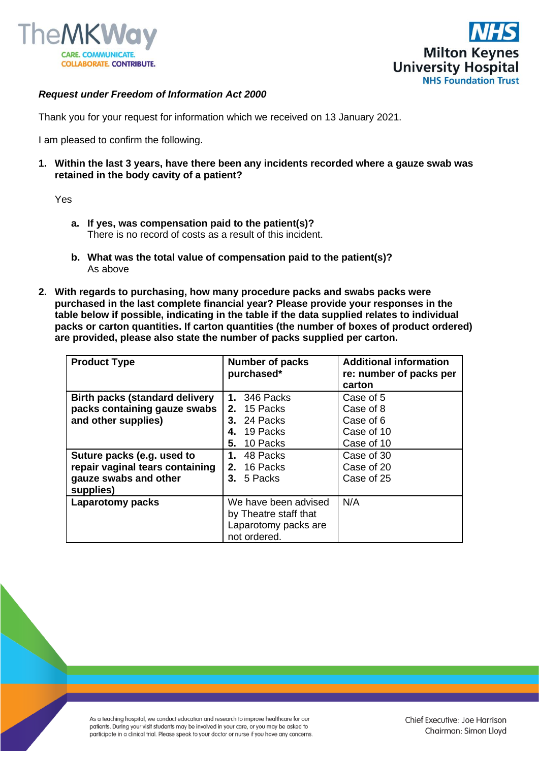



## *Request under Freedom of Information Act 2000*

Thank you for your request for information which we received on 13 January 2021.

I am pleased to confirm the following.

**1. Within the last 3 years, have there been any incidents recorded where a gauze swab was retained in the body cavity of a patient?**

Yes

- **a. If yes, was compensation paid to the patient(s)?** There is no record of costs as a result of this incident.
- **b. What was the total value of compensation paid to the patient(s)?** As above
- **2. With regards to purchasing, how many procedure packs and swabs packs were purchased in the last complete financial year? Please provide your responses in the table below if possible, indicating in the table if the data supplied relates to individual packs or carton quantities. If carton quantities (the number of boxes of product ordered) are provided, please also state the number of packs supplied per carton.**

| <b>Product Type</b>                   | <b>Number of packs</b><br>purchased* | <b>Additional information</b><br>re: number of packs per |
|---------------------------------------|--------------------------------------|----------------------------------------------------------|
|                                       |                                      | carton                                                   |
| <b>Birth packs (standard delivery</b> | 346 Packs<br>1.                      | Case of 5                                                |
| packs containing gauze swabs          | <b>2.</b> 15 Packs                   | Case of 8                                                |
| and other supplies)                   | <b>3.</b> 24 Packs                   | Case of 6                                                |
|                                       | 19 Packs                             | Case of 10                                               |
|                                       | 10 Packs<br>5.                       | Case of 10                                               |
| Suture packs (e.g. used to            | 48 Packs<br>1.                       | Case of 30                                               |
| repair vaginal tears containing       | <b>2.</b> 16 Packs                   | Case of 20                                               |
| gauze swabs and other                 | 3. 5 Packs                           | Case of 25                                               |
| supplies)                             |                                      |                                                          |
| Laparotomy packs                      | We have been advised                 | N/A                                                      |
|                                       | by Theatre staff that                |                                                          |
|                                       | Laparotomy packs are<br>not ordered. |                                                          |

As a teaching hospital, we conduct education and research to improve healthcare for our patients. During your visit students may be involved in your care, or you may be asked to participate in a clinical trial. Please speak to your doctor or nurse if you have any concerns.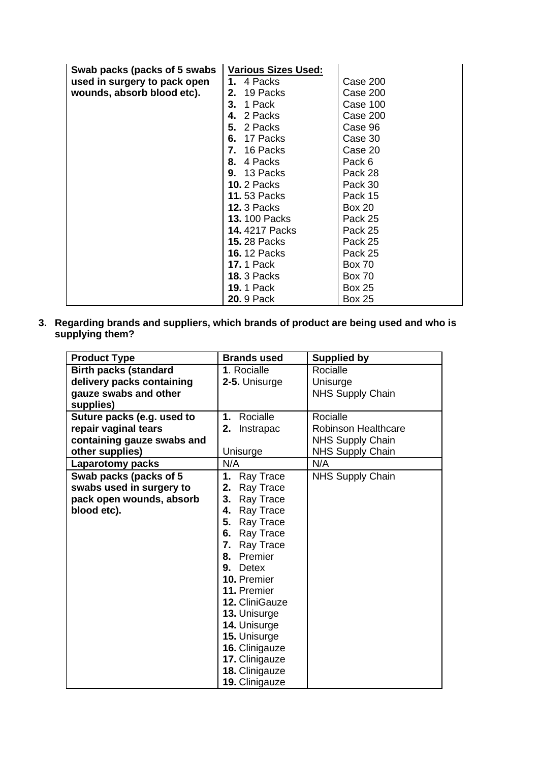| Swab packs (packs of 5 swabs | <b>Various Sizes Used:</b> |               |
|------------------------------|----------------------------|---------------|
| used in surgery to pack open | 1. 4 Packs                 | Case 200      |
| wounds, absorb blood etc).   | <b>2.</b> 19 Packs         | Case 200      |
|                              | 1 Pack<br>3.               | Case 100      |
|                              | 2 Packs<br>4.              | Case 200      |
|                              | 5. 2 Packs                 | Case 96       |
|                              | <b>6.</b> 17 Packs         | Case 30       |
|                              | 16 Packs<br>7.             | Case 20       |
|                              | 8. 4 Packs                 | Pack 6        |
|                              | <b>9.</b> 13 Packs         | Pack 28       |
|                              | <b>10.</b> 2 Packs         | Pack 30       |
|                              | <b>11.53 Packs</b>         | Pack 15       |
|                              | <b>12. 3 Packs</b>         | <b>Box 20</b> |
|                              | <b>13.</b> 100 Packs       | Pack 25       |
|                              | 14.4217 Packs              | Pack 25       |
|                              | <b>15.28 Packs</b>         | Pack 25       |
|                              | <b>16.</b> 12 Packs        | Pack 25       |
|                              | <b>17.</b> 1 Pack          | <b>Box 70</b> |
|                              | <b>18. 3 Packs</b>         | <b>Box 70</b> |
|                              | <b>19.</b> 1 Pack          | <b>Box 25</b> |
|                              | <b>20.</b> 9 Pack          | <b>Box 25</b> |

**3. Regarding brands and suppliers, which brands of product are being used and who is supplying them?**

| <b>Product Type</b>          | <b>Brands used</b> | <b>Supplied by</b>         |
|------------------------------|--------------------|----------------------------|
| <b>Birth packs (standard</b> | 1. Rocialle        | Rocialle                   |
| delivery packs containing    | 2-5. Unisurge      | Unisurge                   |
| gauze swabs and other        |                    | <b>NHS Supply Chain</b>    |
| supplies)                    |                    |                            |
| Suture packs (e.g. used to   | Rocialle<br>1.     | Rocialle                   |
| repair vaginal tears         | 2.<br>Instrapac    | <b>Robinson Healthcare</b> |
| containing gauze swabs and   |                    | <b>NHS Supply Chain</b>    |
| other supplies)              | Unisurge           | <b>NHS Supply Chain</b>    |
| <b>Laparotomy packs</b>      | N/A                | N/A                        |
| Swab packs (packs of 5       | 1.<br>Ray Trace    | <b>NHS Supply Chain</b>    |
| swabs used in surgery to     | 2.<br>Ray Trace    |                            |
| pack open wounds, absorb     | Ray Trace<br>3.    |                            |
| blood etc).                  | 4.<br>Ray Trace    |                            |
|                              | 5.<br>Ray Trace    |                            |
|                              | 6. Ray Trace       |                            |
|                              | 7. Ray Trace       |                            |
|                              | 8. Premier         |                            |
|                              | <b>Detex</b><br>9. |                            |
|                              | <b>10. Premier</b> |                            |
|                              | 11. Premier        |                            |
|                              | 12. CliniGauze     |                            |
|                              | 13. Unisurge       |                            |
|                              | 14. Unisurge       |                            |
|                              | 15. Unisurge       |                            |
|                              | 16. Clinigauze     |                            |
|                              | 17. Clinigauze     |                            |
|                              | 18. Clinigauze     |                            |
|                              | 19. Clinigauze     |                            |